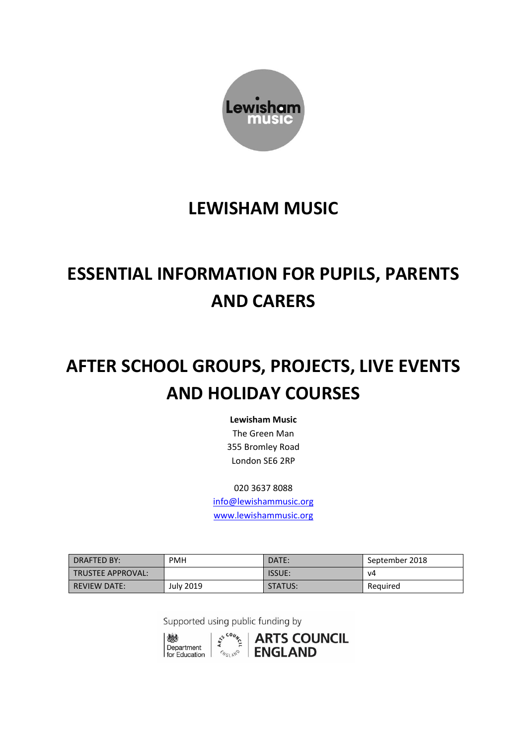

# **LEWISHAM MUSIC**

# **ESSENTIAL INFORMATION FOR PUPILS, PARENTS AND CARERS**

# **AFTER SCHOOL GROUPS, PROJECTS, LIVE EVENTS AND HOLIDAY COURSES**

**Lewisham Music** The Green Man 355 Bromley Road London SE6 2RP

020 3637 8088 [info@lewishammusic.org](mailto:info@lewishammusic.org) [www.lewishammusic.org](http://www.lewishammusic.org/)

| DRAFTED BY:              | <b>PMH</b> | DATE:         | September 2018 |
|--------------------------|------------|---------------|----------------|
| <b>TRUSTEE APPROVAL:</b> |            | <b>ISSUE:</b> | v4             |
| <b>REVIEW DATE:</b>      | July 2019  | STATUS:       | Required       |

Supported using public funding by



 $\frac{1}{2}$   $\frac{1}{2}$  | ARTS COUNCIL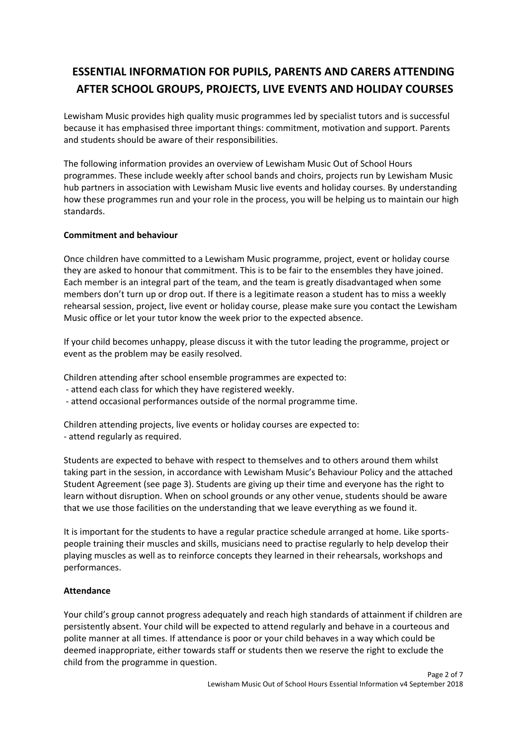## **ESSENTIAL INFORMATION FOR PUPILS, PARENTS AND CARERS ATTENDING AFTER SCHOOL GROUPS, PROJECTS, LIVE EVENTS AND HOLIDAY COURSES**

Lewisham Music provides high quality music programmes led by specialist tutors and is successful because it has emphasised three important things: commitment, motivation and support. Parents and students should be aware of their responsibilities.

The following information provides an overview of Lewisham Music Out of School Hours programmes. These include weekly after school bands and choirs, projects run by Lewisham Music hub partners in association with Lewisham Music live events and holiday courses. By understanding how these programmes run and your role in the process, you will be helping us to maintain our high standards.

#### **Commitment and behaviour**

Once children have committed to a Lewisham Music programme, project, event or holiday course they are asked to honour that commitment. This is to be fair to the ensembles they have joined. Each member is an integral part of the team, and the team is greatly disadvantaged when some members don't turn up or drop out. If there is a legitimate reason a student has to miss a weekly rehearsal session, project, live event or holiday course, please make sure you contact the Lewisham Music office or let your tutor know the week prior to the expected absence.

If your child becomes unhappy, please discuss it with the tutor leading the programme, project or event as the problem may be easily resolved.

Children attending after school ensemble programmes are expected to:

- attend each class for which they have registered weekly.
- attend occasional performances outside of the normal programme time.

Children attending projects, live events or holiday courses are expected to: - attend regularly as required.

Students are expected to behave with respect to themselves and to others around them whilst taking part in the session, in accordance with Lewisham Music's Behaviour Policy and the attached Student Agreement (see page 3). Students are giving up their time and everyone has the right to learn without disruption. When on school grounds or any other venue, students should be aware that we use those facilities on the understanding that we leave everything as we found it.

It is important for the students to have a regular practice schedule arranged at home. Like sportspeople training their muscles and skills, musicians need to practise regularly to help develop their playing muscles as well as to reinforce concepts they learned in their rehearsals, workshops and performances.

#### **Attendance**

Your child's group cannot progress adequately and reach high standards of attainment if children are persistently absent. Your child will be expected to attend regularly and behave in a courteous and polite manner at all times. If attendance is poor or your child behaves in a way which could be deemed inappropriate, either towards staff or students then we reserve the right to exclude the child from the programme in question.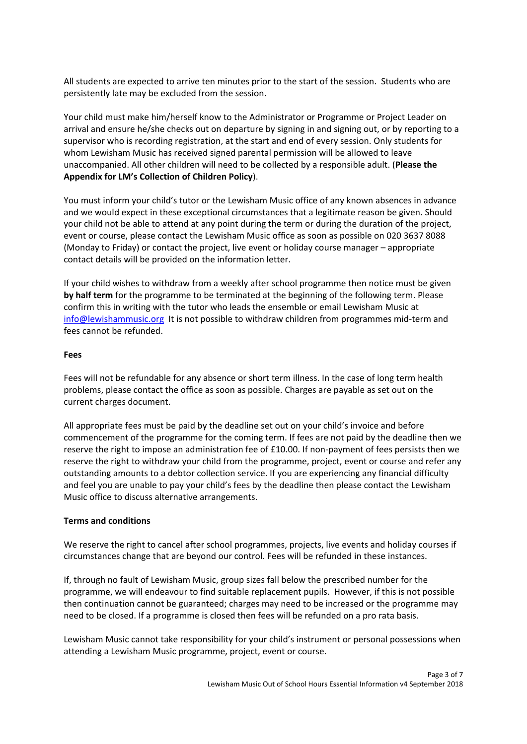All students are expected to arrive ten minutes prior to the start of the session. Students who are persistently late may be excluded from the session.

Your child must make him/herself know to the Administrator or Programme or Project Leader on arrival and ensure he/she checks out on departure by signing in and signing out, or by reporting to a supervisor who is recording registration, at the start and end of every session. Only students for whom Lewisham Music has received signed parental permission will be allowed to leave unaccompanied. All other children will need to be collected by a responsible adult. (**Please the Appendix for LM's Collection of Children Policy**).

You must inform your child's tutor or the Lewisham Music office of any known absences in advance and we would expect in these exceptional circumstances that a legitimate reason be given. Should your child not be able to attend at any point during the term or during the duration of the project, event or course, please contact the Lewisham Music office as soon as possible on 020 3637 8088 (Monday to Friday) or contact the project, live event or holiday course manager – appropriate contact details will be provided on the information letter.

If your child wishes to withdraw from a weekly after school programme then notice must be given **by half term** for the programme to be terminated at the beginning of the following term. Please confirm this in writing with the tutor who leads the ensemble or email Lewisham Music at [info@lewishammusic.org](mailto:info@lewishammusic.org) It is not possible to withdraw children from programmes mid-term and fees cannot be refunded.

#### **Fees**

Fees will not be refundable for any absence or short term illness. In the case of long term health problems, please contact the office as soon as possible. Charges are payable as set out on the current charges document.

All appropriate fees must be paid by the deadline set out on your child's invoice and before commencement of the programme for the coming term. If fees are not paid by the deadline then we reserve the right to impose an administration fee of £10.00. If non-payment of fees persists then we reserve the right to withdraw your child from the programme, project, event or course and refer any outstanding amounts to a debtor collection service. If you are experiencing any financial difficulty and feel you are unable to pay your child's fees by the deadline then please contact the Lewisham Music office to discuss alternative arrangements.

#### **Terms and conditions**

We reserve the right to cancel after school programmes, projects, live events and holiday courses if circumstances change that are beyond our control. Fees will be refunded in these instances.

If, through no fault of Lewisham Music, group sizes fall below the prescribed number for the programme, we will endeavour to find suitable replacement pupils. However, if this is not possible then continuation cannot be guaranteed; charges may need to be increased or the programme may need to be closed. If a programme is closed then fees will be refunded on a pro rata basis.

Lewisham Music cannot take responsibility for your child's instrument or personal possessions when attending a Lewisham Music programme, project, event or course.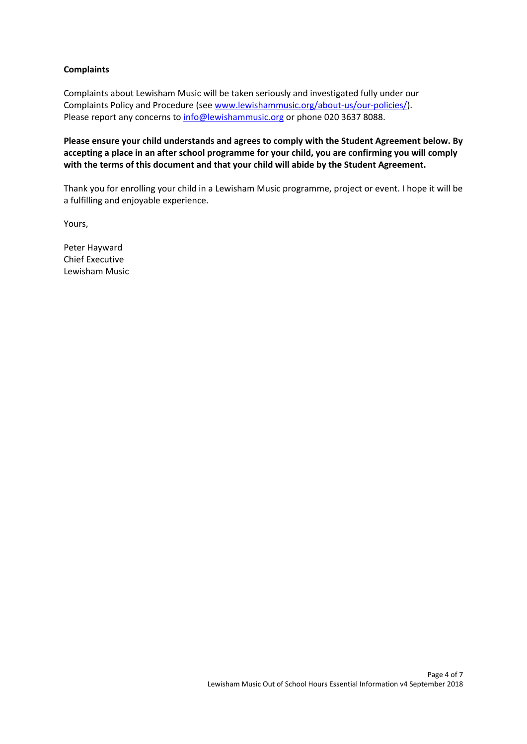#### **Complaints**

Complaints about Lewisham Music will be taken seriously and investigated fully under our Complaints Policy and Procedure (se[e www.lewishammusic.org/about-us/our-policies/\)](http://www.lewishammusic.org/about-us/our-policies/). Please report any concerns to [info@lewishammusic.org](mailto:info@lewishammusic.org) or phone 020 3637 8088.

**Please ensure your child understands and agrees to comply with the Student Agreement below. By accepting a place in an after school programme for your child, you are confirming you will comply with the terms of this document and that your child will abide by the Student Agreement.** 

Thank you for enrolling your child in a Lewisham Music programme, project or event. I hope it will be a fulfilling and enjoyable experience.

Yours,

Peter Hayward Chief Executive Lewisham Music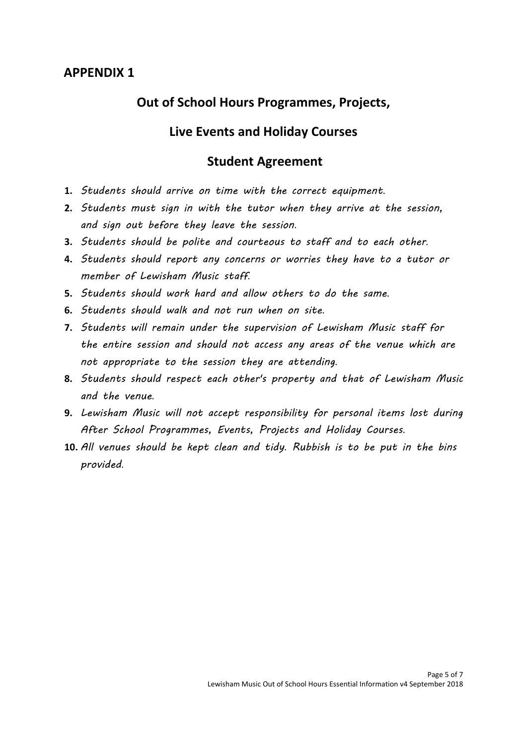## **APPENDIX 1**

## **Out of School Hours Programmes, Projects,**

## **Live Events and Holiday Courses**

### **Student Agreement**

- **1.** *Students should arrive on time with the correct equipment*.
- **2.** *Students must sign in with the tutor when they arrive at the session, and sign out before they leave the session*.
- **3.** *Students should be polite and courteous to staff and to each other*.
- **4.** *Students should report any concerns or worries they have to a tutor or member of Lewisham Music staff*.
- **5.** *Students should work hard and allow others to do the same*.
- **6.** *Students should walk and not run when on site*.
- **7.** *Students will remain under the supervision of Lewisham Music staff for the entire session and should not access any areas of the venue which are not appropriate to the session they are attending*.
- **8.** *Students should respect each other's property and that of Lewisham Music and the venue*.
- **9.** *Lewisham Music will not accept responsibility for personal items lost during After School Programmes, Events, Projects and Holiday Courses*.
- **10.** *All venues should be kept clean and tidy*. *Rubbish is to be put in the bins provided*.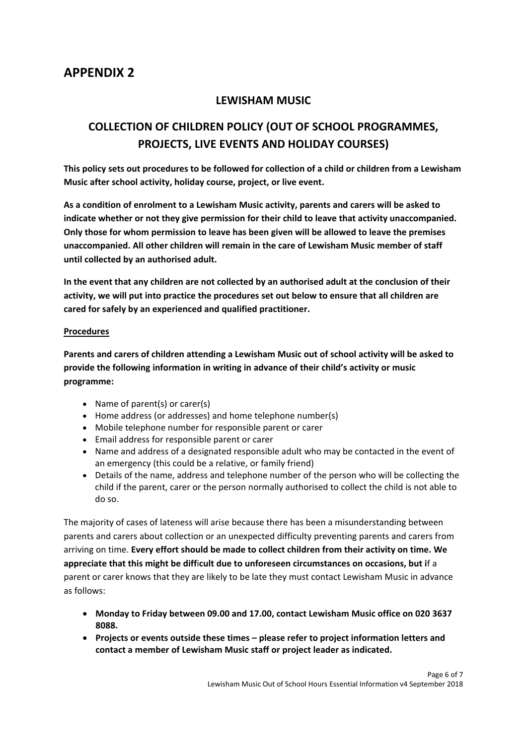## **APPENDIX 2**

### **LEWISHAM MUSIC**

## **COLLECTION OF CHILDREN POLICY (OUT OF SCHOOL PROGRAMMES, PROJECTS, LIVE EVENTS AND HOLIDAY COURSES)**

**This policy sets out procedures to be followed for collection of a child or children from a Lewisham Music after school activity, holiday course, project, or live event.** 

**As a condition of enrolment to a Lewisham Music activity, parents and carers will be asked to indicate whether or not they give permission for their child to leave that activity unaccompanied. Only those for whom permission to leave has been given will be allowed to leave the premises unaccompanied. All other children will remain in the care of Lewisham Music member of staff until collected by an authorised adult.** 

**In the event that any children are not collected by an authorised adult at the conclusion of their activity, we will put into practice the procedures set out below to ensure that all children are cared for safely by an experienced and qualified practitioner.** 

#### **Procedures**

**Parents and carers of children attending a Lewisham Music out of school activity will be asked to provide the following information in writing in advance of their child's activity or music programme:** 

- Name of parent(s) or carer(s)
- Home address (or addresses) and home telephone number(s)
- Mobile telephone number for responsible parent or carer
- Email address for responsible parent or carer
- Name and address of a designated responsible adult who may be contacted in the event of an emergency (this could be a relative, or family friend)
- Details of the name, address and telephone number of the person who will be collecting the child if the parent, carer or the person normally authorised to collect the child is not able to do so.

The majority of cases of lateness will arise because there has been a misunderstanding between parents and carers about collection or an unexpected difficulty preventing parents and carers from arriving on time. **Every effort should be made to collect children from their activity on time. We appreciate that this might be diff**i**cult due to unforeseen circumstances on occasions, but i**f a parent or carer knows that they are likely to be late they must contact Lewisham Music in advance as follows:

- **Monday to Friday between 09.00 and 17.00, contact Lewisham Music office on 020 3637 8088.**
- **Projects or events outside these times – please refer to project information letters and contact a member of Lewisham Music staff or project leader as indicated.**